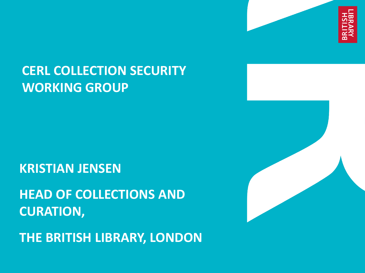

## **CERL COLLECTION SECURITY WORKING GROUP**

**KRISTIAN JENSEN**

**HEAD OF COLLECTIONS AND CURATION,**

**THE BRITISH LIBRARY, LONDON**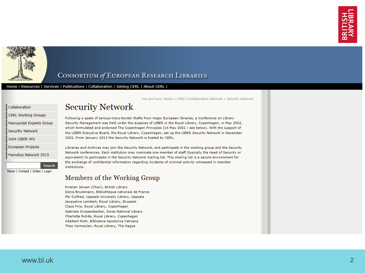

#### CONSORTIUM of EUROPEAN RESEARCH LIBRARIES

Home | Resources | Services | Publications | Collaboration | Joining CERL | About CERL |

Collaboration

**CERL Working Groups** Manuscript Experts Group **Security Network** 

Joint LIBER WG

**European Projects** 

Manutius Network 2015

Search

News | Contact | Index | Login

You are here: Home » CERL's Collaboration Network » Security Network

## **Security Network**

Following a spate of serious trans-border thefts from major European libraries, a Conference on Library Security Management was held under the auspices of LIBER in the Royal Library, Copenhagen, in May 2002, which formulated and endorsed The Copenhagen Principles (14 May 2002 / see below). With the support of the LIBER Executive Board, the Royal Library, Copenhagen, set up the LIBER Security Network in December 2002. From January 2013 the Security Network is hosted by CERL.

Libraries and Archives may join the Security Network, and participate in the working group and the Security Network conferences. Each institution may nominate one member of staff (typically the Head of Security or equivalent) to participate in the Security Network mailing list. This mailing list is a secure environment for the exchange of confidential information regarding incidents of criminal activity witnessed in member institutions.

#### Members of the Working Group

Kristian Jensen (Chair), British Library Denis Bruckmann, Bibliothèque nationale de France Per Cullhed, Uppsala University Library, Uppsala Jacqueline Lambert, Royal Library, Brussels Claus Friis, Royal Library, Copenhagen Gabriela Grossenbacher, Swiss National Library Charlotte Rohde, Royal Library, Copenhagen Adalbert Roth, Biblioteca Apostolica Vaticana Theo Vermeulen, Royal Library, The Hague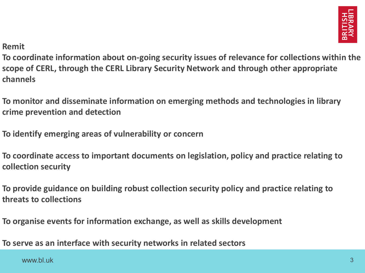

**Remit**

**To coordinate information about on-going security issues of relevance for collections within the scope of CERL, through the CERL Library Security Network and through other appropriate channels**

**To monitor and disseminate information on emerging methods and technologies in library crime prevention and detection**

**To identify emerging areas of vulnerability or concern**

**To coordinate access to important documents on legislation, policy and practice relating to collection security**

**To provide guidance on building robust collection security policy and practice relating to threats to collections**

**To organise events for information exchange, as well as skills development**

**To serve as an interface with security networks in related sectors**

www.bl.uk  $3$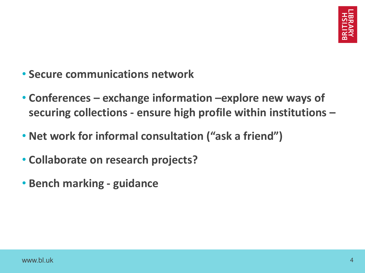- **Secure communications network**
- **Conferences – exchange information –explore new ways of securing collections - ensure high profile within institutions –**
- **Net work for informal consultation ("ask a friend")**
- **Collaborate on research projects?**
- **Bench marking - guidance**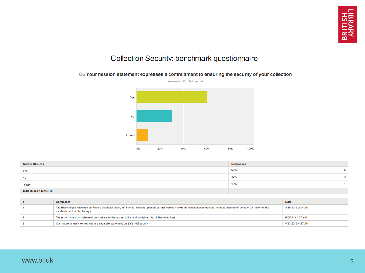#### Q6 Your mission statement expresses a committment to ensuring the security of your collection



| <b>Answer Choices</b>        | <b>Responses</b> |  |
|------------------------------|------------------|--|
| Yes                          | 60%              |  |
| No                           | 30%              |  |
| In part                      | 10%              |  |
| <b>Total Respondents: 10</b> |                  |  |

| <b>Comments</b>                                                                                                                                                                                             | <b>Date</b>       |
|-------------------------------------------------------------------------------------------------------------------------------------------------------------------------------------------------------------|-------------------|
| The Bibliothèque nationale de France (National library of France) collects, preserves and makes known the national documentary heritage (decree of january 03, 1994 on the<br>establishment of the library) | 8/30/2013 2:04 AM |
| The (short) mission statement only refers to the accessibility and sustainability of the colections                                                                                                         | 6/5/2013 1:27 AM  |
| It is (more or less) worked out in a separate statement on Safety & Security                                                                                                                                | 4/23/2013 4:37 AM |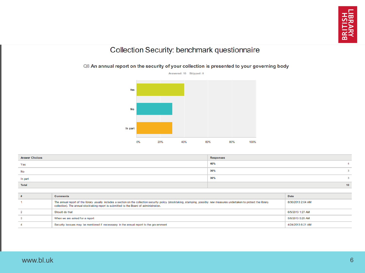#### Q8 An annual report on the security of your collection is presented to your governing body



| <b>Answer Choices</b> | <b>Responses</b> |    |
|-----------------------|------------------|----|
| Yes                   | 40%              |    |
| No                    | 30%              |    |
| In part               | 30%              |    |
| <b>Total</b>          |                  | 10 |

| <b>Comments</b>                                                                                                                                                                                                                                                          | <b>Date</b>       |
|--------------------------------------------------------------------------------------------------------------------------------------------------------------------------------------------------------------------------------------------------------------------------|-------------------|
| The annual report of the library usually includes a section on the collection security policy (stocktaking, stamping, possibly new measures undertaken to protect the library<br>collection). The annual stocktaking report is submitted to the Board of administration. | 8/30/2013 2:04 AM |
| Should do that                                                                                                                                                                                                                                                           | 6/5/2013 1:27 AM  |
| When we are asked for a report                                                                                                                                                                                                                                           | 5/6/2013 5:29 AM  |
| Security isssues may be mentioned if necessaary in the annual report to the government                                                                                                                                                                                   | 4/24/2013 6:21 AM |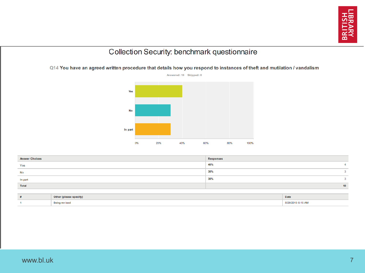

Q14 You have an agreed written procedure that details how you respond to instances of theft and mutilation / vandalism



| <b>Answer Choices</b> | <b>Responses</b> |                 |
|-----------------------|------------------|-----------------|
| Yes                   | 40%              |                 |
| No                    | 30%              |                 |
| In part               | 30%              |                 |
| <b>Total</b>          |                  | 10 <sup>1</sup> |

| Other<br>nlease specify, | Date              |
|--------------------------|-------------------|
| Being revised            | 5/29/2013 8:15 AM |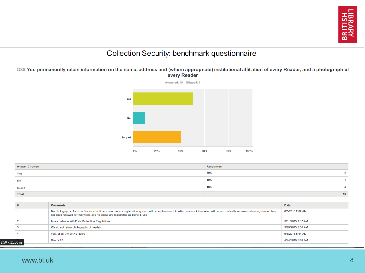

Q38 You permanently retain information on the name, address and (where appropriate) institutional affiliation of every Reader, and a photograph of every Reader



| <b>Answer Choices</b> | <b>Responses</b> |                 |
|-----------------------|------------------|-----------------|
| Yes                   | 50%              |                 |
| <b>No</b>             | 10%              |                 |
| In part               | 40%              |                 |
| <b>Total</b>          |                  | 10 <sub>1</sub> |

|            | <b>Comments</b>                                                                                                                                                                                                                                                 | <b>Date</b>       |
|------------|-----------------------------------------------------------------------------------------------------------------------------------------------------------------------------------------------------------------------------------------------------------------|-------------------|
|            | No photographs. And in a few months time a new readers registration system will be implemented, in which readers information will be automatically removed when registration has<br>not been renewed for two years and no books are registrated as being in use | 6/5/2013 2:02 AM  |
|            | In accordance with Data Protection Regulations                                                                                                                                                                                                                  | 5/31/2013 7:17 AM |
|            | We do not retain photographs of readers                                                                                                                                                                                                                         | 5/29/2013 8:30 AM |
|            | yes, of all the active users                                                                                                                                                                                                                                    | 5/6/2013 5:44 AM  |
| - 11.00 in | See nr 37.                                                                                                                                                                                                                                                      | 4/24/2013 6:30 AM |

8.50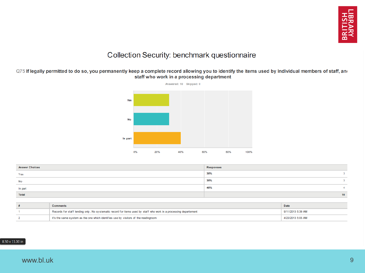

#### Q75 If legally permitted to do so, you permanently keep a complete record allowing you to identify the items used by Individual members of staff, and staff who work in a processing department



| <b>Answer Choices</b> | <b>Responses</b> |                 |
|-----------------------|------------------|-----------------|
| Yes                   | 30%              |                 |
| No                    | 30%              |                 |
| In part               | 40%              |                 |
| <b>Total</b>          |                  | 10 <sub>1</sub> |

| Comments                                                                                                          | <b>Date</b>       |
|-------------------------------------------------------------------------------------------------------------------|-------------------|
| Records for staff lending only. No systematic record for items used by staff who work in a processing departement | 9/11/2013 5:39 AM |
| it's the same system as the one which identifies use by visitors of the readingroom                               | 4/23/2013 5:05 AM |

#### 8.50 x 11.00 in

#### www.bl.uk 9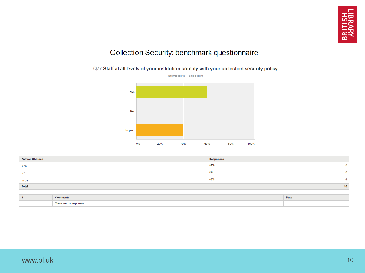#### Q77 Staff at all levels of your institution comply with your collection security policy



| <b>Answer Choices</b> | <b>Responses</b> |    |
|-----------------------|------------------|----|
| Yes                   | 60%              |    |
| No                    | 0%               |    |
| In part               | 40%              |    |
| <b>Total</b>          |                  | 10 |

|                                    | Date |
|------------------------------------|------|
| response<br>more and no reopended. |      |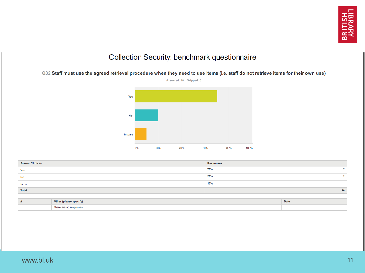



| <b>Answer Choices</b> | <b>Responses</b> |    |
|-----------------------|------------------|----|
| Yes                   | 70%              |    |
| No                    | 20%              |    |
| In part               | 10%              |    |
| <b>Total</b>          |                  | 10 |

| Other (please specify)    | <b>Date</b> |
|---------------------------|-------------|
| There.<br>responses<br>nr |             |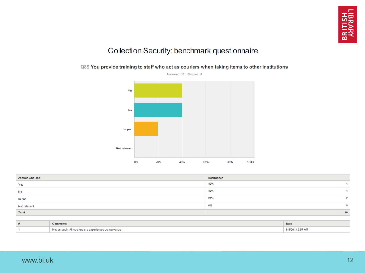

Q89 You provide training to staff who act as couriers when taking items to other institutions

| $\sim$          |
|-----------------|
| $\Omega$        |
| 10 <sub>1</sub> |
|                 |

|                           | Date                   |
|---------------------------|------------------------|
| <sup>1</sup> conservators | $-2013.557$<br>5:57 AM |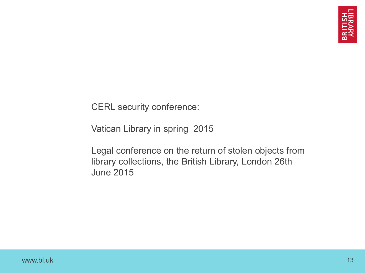CERL security conference:

Vatican Library in spring 2015

Legal conference on the return of stolen objects from library collections, the British Library, London 26th June 2015